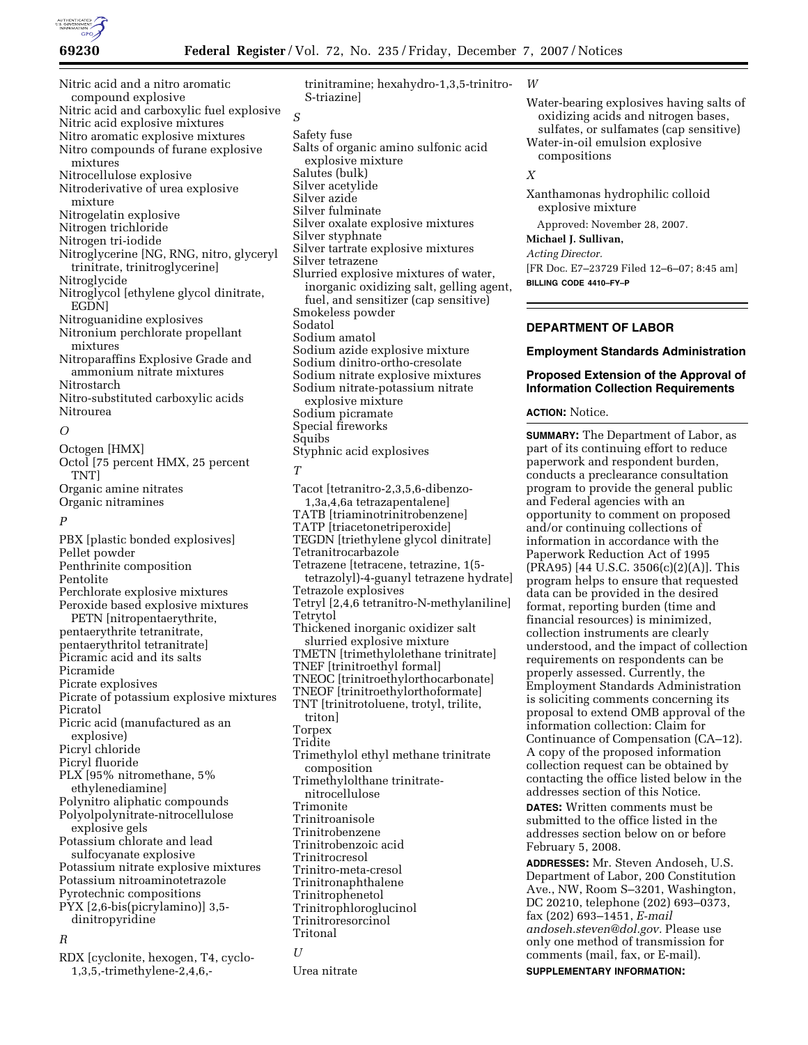

Nitric acid and a nitro aromatic compound explosive Nitric acid and carboxylic fuel explosive Nitric acid explosive mixtures Nitro aromatic explosive mixtures Nitro compounds of furane explosive mixtures Nitrocellulose explosive Nitroderivative of urea explosive mixture Nitrogelatin explosive Nitrogen trichloride Nitrogen tri-iodide Nitroglycerine [NG, RNG, nitro, glyceryl trinitrate, trinitroglycerine] Nitroglycide Nitroglycol [ethylene glycol dinitrate, EGDN] Nitroguanidine explosives Nitronium perchlorate propellant mixtures Nitroparaffins Explosive Grade and ammonium nitrate mixtures Nitrostarch Nitro-substituted carboxylic acids Nitrourea *O*  Octogen [HMX] Octol [75 percent HMX, 25 percent TNT] Organic amine nitrates Organic nitramines

# *P*

PBX [plastic bonded explosives] Pellet powder Penthrinite composition Pentolite Perchlorate explosive mixtures Peroxide based explosive mixtures PETN [nitropentaerythrite, pentaerythrite tetranitrate, pentaerythritol tetranitrate] Picramic acid and its salts Picramide Picrate explosives Picrate of potassium explosive mixtures Picratol Picric acid (manufactured as an explosive) Picryl chloride Picryl fluoride PLX [95% nitromethane, 5% ethylenediamine] Polynitro aliphatic compounds Polyolpolynitrate-nitrocellulose explosive gels Potassium chlorate and lead sulfocyanate explosive Potassium nitrate explosive mixtures Potassium nitroaminotetrazole Pyrotechnic compositions PYX [2,6-bis(picrylamino)] 3,5 dinitropyridine

## *R*

RDX [cyclonite, hexogen, T4, cyclo-1,3,5,-trimethylene-2,4,6,-

trinitramine; hexahydro-1,3,5-trinitro-S-triazine] *S*  Safety fuse Salts of organic amino sulfonic acid explosive mixture Salutes (bulk) Silver acetylide Silver azide Silver fulminate Silver oxalate explosive mixtures Silver styphnate Silver tartrate explosive mixtures Silver tetrazene Slurried explosive mixtures of water, inorganic oxidizing salt, gelling agent, fuel, and sensitizer (cap sensitive) Smokeless powder Sodatol Sodium amatol Sodium azide explosive mixture Sodium dinitro-ortho-cresolate Sodium nitrate explosive mixtures Sodium nitrate-potassium nitrate explosive mixture Sodium picramate Special fireworks Squibs Styphnic acid explosives *T*  Tacot [tetranitro-2,3,5,6-dibenzo-1,3a,4,6a tetrazapentalene] TATB [triaminotrinitrobenzene] TATP [triacetonetriperoxide] TEGDN [triethylene glycol dinitrate] Tetranitrocarbazole Tetrazene [tetracene, tetrazine, 1(5 tetrazolyl)-4-guanyl tetrazene hydrate] Tetrazole explosives Tetryl [2,4,6 tetranitro-N-methylaniline] Tetrytol Thickened inorganic oxidizer salt slurried explosive mixture TMETN [trimethylolethane trinitrate] TNEF [trinitroethyl formal] TNEOC [trinitroethylorthocarbonate] TNEOF [trinitroethylorthoformate] TNT [trinitrotoluene, trotyl, trilite,

- triton]
- Torpex
- Tridite
- Trimethylol ethyl methane trinitrate composition
- Trimethylolthane trinitrate-
- nitrocellulose
- Trimonite
- Trinitroanisole
- Trinitrobenzene
- Trinitrobenzoic acid
- Trinitrocresol
- Trinitro-meta-cresol
- Trinitronaphthalene
- Trinitrophenetol
- Trinitrophloroglucinol
- Trinitroresorcinol
	- Tritonal

## *U I I*

Urea nitrate

#### *W*

Water-bearing explosives having salts of oxidizing acids and nitrogen bases, sulfates, or sulfamates (cap sensitive)

Water-in-oil emulsion explosive compositions

# *X*

Xanthamonas hydrophilic colloid explosive mixture

Approved: November 28, 2007. **Michael J. Sullivan,** 

# *Acting Director.*

[FR Doc. E7–23729 Filed 12–6–07; 8:45 am] **BILLING CODE 4410–FY–P** 

# **DEPARTMENT OF LABOR**

#### **Employment Standards Administration**

## **Proposed Extension of the Approval of Information Collection Requirements**

#### **ACTION:** Notice.

**SUMMARY:** The Department of Labor, as part of its continuing effort to reduce paperwork and respondent burden, conducts a preclearance consultation program to provide the general public and Federal agencies with an opportunity to comment on proposed and/or continuing collections of information in accordance with the Paperwork Reduction Act of 1995 (PRA95) [44 U.S.C. 3506(c)(2)(A)]. This program helps to ensure that requested data can be provided in the desired format, reporting burden (time and financial resources) is minimized, collection instruments are clearly understood, and the impact of collection requirements on respondents can be properly assessed. Currently, the Employment Standards Administration is soliciting comments concerning its proposal to extend OMB approval of the information collection: Claim for Continuance of Compensation (CA–12). A copy of the proposed information collection request can be obtained by contacting the office listed below in the addresses section of this Notice.

**DATES:** Written comments must be submitted to the office listed in the addresses section below on or before February 5, 2008.

**ADDRESSES:** Mr. Steven Andoseh, U.S. Department of Labor, 200 Constitution Ave., NW, Room S–3201, Washington, DC 20210, telephone (202) 693–0373, fax (202) 693–1451, *E-mail andoseh.steven@dol.gov.* Please use only one method of transmission for comments (mail, fax, or E-mail).

**SUPPLEMENTARY INFORMATION:**